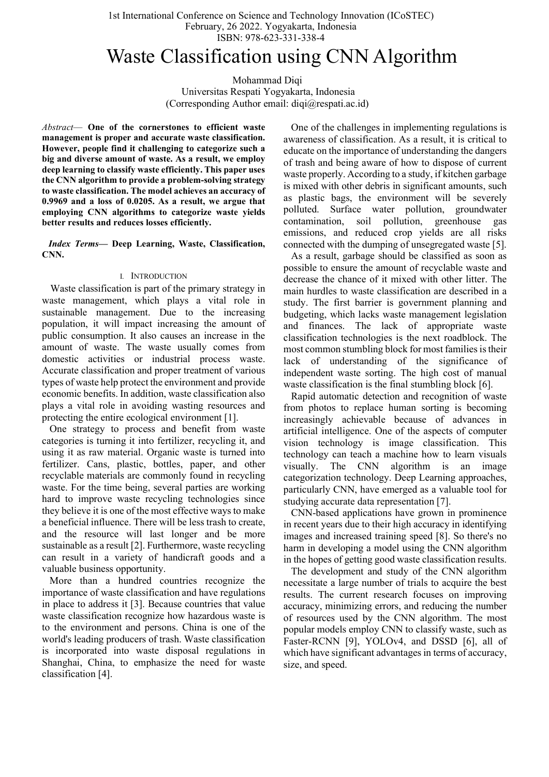# Waste Classification using CNN Algorithm

Mohammad Diqi Universitas Respati Yogyakarta, Indonesia (Corresponding Author email: diqi@respati.ac.id)

Abstract— One of the cornerstones to efficient waste management is proper and accurate waste classification. However, people find it challenging to categorize such a big and diverse amount of waste. As a result, we employ deep learning to classify waste efficiently. This paper uses the CNN algorithm to provide a problem-solving strategy to waste classification. The model achieves an accuracy of 0.9969 and a loss of 0.0205. As a result, we argue that employing CNN algorithms to categorize waste yields better results and reduces losses efficiently.

Index Terms— Deep Learning, Waste, Classification, CNN.

## I. INTRODUCTION

 Waste classification is part of the primary strategy in waste management, which plays a vital role in sustainable management. Due to the increasing population, it will impact increasing the amount of public consumption. It also causes an increase in the amount of waste. The waste usually comes from domestic activities or industrial process waste. Accurate classification and proper treatment of various types of waste help protect the environment and provide economic benefits. In addition, waste classification also plays a vital role in avoiding wasting resources and protecting the entire ecological environment [1].

 One strategy to process and benefit from waste categories is turning it into fertilizer, recycling it, and using it as raw material. Organic waste is turned into fertilizer. Cans, plastic, bottles, paper, and other recyclable materials are commonly found in recycling waste. For the time being, several parties are working hard to improve waste recycling technologies since they believe it is one of the most effective ways to make a beneficial influence. There will be less trash to create, and the resource will last longer and be more sustainable as a result [2]. Furthermore, waste recycling can result in a variety of handicraft goods and a valuable business opportunity.

 More than a hundred countries recognize the importance of waste classification and have regulations in place to address it [3]. Because countries that value waste classification recognize how hazardous waste is to the environment and persons. China is one of the world's leading producers of trash. Waste classification is incorporated into waste disposal regulations in Shanghai, China, to emphasize the need for waste classification [4].

 One of the challenges in implementing regulations is awareness of classification. As a result, it is critical to educate on the importance of understanding the dangers of trash and being aware of how to dispose of current waste properly. According to a study, if kitchen garbage is mixed with other debris in significant amounts, such as plastic bags, the environment will be severely polluted. Surface water pollution, groundwater contamination, soil pollution, greenhouse gas emissions, and reduced crop yields are all risks connected with the dumping of unsegregated waste [5].

 As a result, garbage should be classified as soon as possible to ensure the amount of recyclable waste and decrease the chance of it mixed with other litter. The main hurdles to waste classification are described in a study. The first barrier is government planning and budgeting, which lacks waste management legislation and finances. The lack of appropriate waste classification technologies is the next roadblock. The most common stumbling block for most families is their lack of understanding of the significance of independent waste sorting. The high cost of manual waste classification is the final stumbling block [6].

 Rapid automatic detection and recognition of waste from photos to replace human sorting is becoming increasingly achievable because of advances in artificial intelligence. One of the aspects of computer vision technology is image classification. This technology can teach a machine how to learn visuals visually. The CNN algorithm is an image categorization technology. Deep Learning approaches, particularly CNN, have emerged as a valuable tool for studying accurate data representation [7].

 CNN-based applications have grown in prominence in recent years due to their high accuracy in identifying images and increased training speed [8]. So there's no harm in developing a model using the CNN algorithm in the hopes of getting good waste classification results.

 The development and study of the CNN algorithm necessitate a large number of trials to acquire the best results. The current research focuses on improving accuracy, minimizing errors, and reducing the number of resources used by the CNN algorithm. The most popular models employ CNN to classify waste, such as Faster-RCNN [9], YOLOv4, and DSSD [6], all of which have significant advantages in terms of accuracy, size, and speed.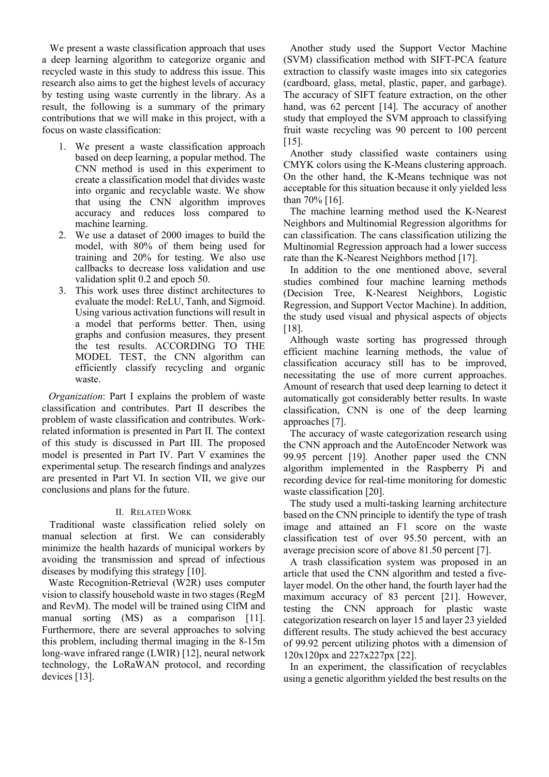We present a waste classification approach that uses a deep learning algorithm to categorize organic and recycled waste in this study to address this issue. This research also aims to get the highest levels of accuracy by testing using waste currently in the library. As a result, the following is a summary of the primary contributions that we will make in this project, with a focus on waste classification:

- 1. We present a waste classification approach based on deep learning, a popular method. The CNN method is used in this experiment to create a classification model that divides waste into organic and recyclable waste. We show that using the CNN algorithm improves accuracy and reduces loss compared to machine learning.
- 2. We use a dataset of 2000 images to build the model, with 80% of them being used for training and 20% for testing. We also use callbacks to decrease loss validation and use validation split 0.2 and epoch 50.
- 3. This work uses three distinct architectures to evaluate the model: ReLU, Tanh, and Sigmoid. Using various activation functions will result in a model that performs better. Then, using graphs and confusion measures, they present the test results. ACCORDING TO THE MODEL TEST, the CNN algorithm can efficiently classify recycling and organic waste.

Organization: Part I explains the problem of waste classification and contributes. Part II describes the problem of waste classification and contributes. Workrelated information is presented in Part II. The context of this study is discussed in Part III. The proposed model is presented in Part IV. Part V examines the experimental setup. The research findings and analyzes are presented in Part VI. In section VII, we give our conclusions and plans for the future.

## II. RELATED WORK

 Traditional waste classification relied solely on manual selection at first. We can considerably minimize the health hazards of municipal workers by avoiding the transmission and spread of infectious diseases by modifying this strategy [10].

Waste Recognition-Retrieval (W2R) uses computer vision to classify household waste in two stages (RegM and RevM). The model will be trained using ClfM and manual sorting (MS) as a comparison [11]. Furthermore, there are several approaches to solving this problem, including thermal imaging in the 8-15m long-wave infrared range (LWIR) [12], neural network technology, the LoRaWAN protocol, and recording devices [13].

Another study used the Support Vector Machine (SVM) classification method with SIFT-PCA feature extraction to classify waste images into six categories (cardboard, glass, metal, plastic, paper, and garbage). The accuracy of SIFT feature extraction, on the other hand, was 62 percent [14]. The accuracy of another study that employed the SVM approach to classifying fruit waste recycling was 90 percent to 100 percent [15].

Another study classified waste containers using CMYK colors using the K-Means clustering approach. On the other hand, the K-Means technique was not acceptable for this situation because it only yielded less than 70% [16].

The machine learning method used the K-Nearest Neighbors and Multinomial Regression algorithms for can classification. The cans classification utilizing the Multinomial Regression approach had a lower success rate than the K-Nearest Neighbors method [17].

In addition to the one mentioned above, several studies combined four machine learning methods (Decision Tree, K-Nearest Neighbors, Logistic Regression, and Support Vector Machine). In addition, the study used visual and physical aspects of objects [18].

Although waste sorting has progressed through efficient machine learning methods, the value of classification accuracy still has to be improved, necessitating the use of more current approaches. Amount of research that used deep learning to detect it automatically got considerably better results. In waste classification, CNN is one of the deep learning approaches [7].

The accuracy of waste categorization research using the CNN approach and the AutoEncoder Network was 99.95 percent [19]. Another paper used the CNN algorithm implemented in the Raspberry Pi and recording device for real-time monitoring for domestic waste classification [20].

The study used a multi-tasking learning architecture based on the CNN principle to identify the type of trash image and attained an F1 score on the waste classification test of over 95.50 percent, with an average precision score of above 81.50 percent [7].

A trash classification system was proposed in an article that used the CNN algorithm and tested a fivelayer model. On the other hand, the fourth layer had the maximum accuracy of 83 percent [21]. However, testing the CNN approach for plastic waste categorization research on layer 15 and layer 23 yielded different results. The study achieved the best accuracy of 99.92 percent utilizing photos with a dimension of 120x120px and 227x227px [22].

In an experiment, the classification of recyclables using a genetic algorithm yielded the best results on the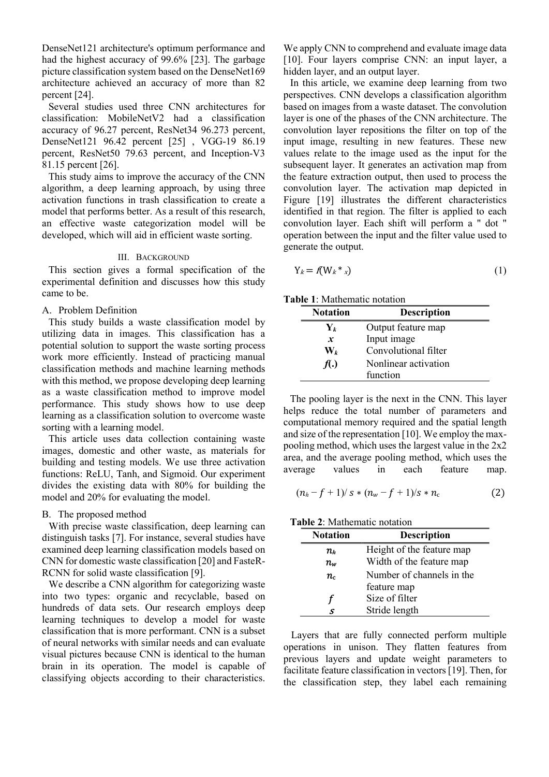DenseNet121 architecture's optimum performance and had the highest accuracy of 99.6% [23]. The garbage picture classification system based on the DenseNet169 architecture achieved an accuracy of more than 82 percent [24].

Several studies used three CNN architectures for classification: MobileNetV2 had a classification accuracy of 96.27 percent, ResNet34 96.273 percent, DenseNet121 96.42 percent [25] , VGG-19 86.19 percent, ResNet50 79.63 percent, and Inception-V3 81.15 percent [26].

This study aims to improve the accuracy of the CNN algorithm, a deep learning approach, by using three activation functions in trash classification to create a model that performs better. As a result of this research, an effective waste categorization model will be developed, which will aid in efficient waste sorting.

## III. BACKGROUND

This section gives a formal specification of the experimental definition and discusses how this study came to be.

## A. Problem Definition

This study builds a waste classification model by utilizing data in images. This classification has a potential solution to support the waste sorting process work more efficiently. Instead of practicing manual classification methods and machine learning methods with this method, we propose developing deep learning as a waste classification method to improve model performance. This study shows how to use deep learning as a classification solution to overcome waste sorting with a learning model.

This article uses data collection containing waste images, domestic and other waste, as materials for building and testing models. We use three activation functions: ReLU, Tanh, and Sigmoid. Our experiment divides the existing data with 80% for building the model and 20% for evaluating the model.

### B. The proposed method

With precise waste classification, deep learning can distinguish tasks [7]. For instance, several studies have examined deep learning classification models based on CNN for domestic waste classification [20] and FasteR-RCNN for solid waste classification [9].

We describe a CNN algorithm for categorizing waste into two types: organic and recyclable, based on hundreds of data sets. Our research employs deep learning techniques to develop a model for waste classification that is more performant. CNN is a subset of neural networks with similar needs and can evaluate visual pictures because CNN is identical to the human brain in its operation. The model is capable of classifying objects according to their characteristics.

We apply CNN to comprehend and evaluate image data [10]. Four layers comprise CNN: an input layer, a hidden layer, and an output layer.

In this article, we examine deep learning from two perspectives. CNN develops a classification algorithm based on images from a waste dataset. The convolution layer is one of the phases of the CNN architecture. The convolution layer repositions the filter on top of the input image, resulting in new features. These new values relate to the image used as the input for the subsequent layer. It generates an activation map from the feature extraction output, then used to process the convolution layer. The activation map depicted in Figure [19] illustrates the different characteristics identified in that region. The filter is applied to each convolution layer. Each shift will perform a " dot " operation between the input and the filter value used to generate the output.

$$
Y_k = f(W_k * x) \tag{1}
$$

Table 1: Mathematic notation

| <b>Notation</b>       | <b>Description</b>   |  |
|-----------------------|----------------------|--|
| $\mathbf{Y}_k$        | Output feature map   |  |
| $\boldsymbol{x}$      | Input image          |  |
| $\mathbf{W}_{\bm{k}}$ | Convolutional filter |  |
| f(.)                  | Nonlinear activation |  |
|                       | function             |  |

The pooling layer is the next in the CNN. This layer helps reduce the total number of parameters and computational memory required and the spatial length and size of the representation [10]. We employ the maxpooling method, which uses the largest value in the 2x2 area, and the average pooling method, which uses the average values in each feature map.

$$
(n_h - f + 1)/s * (n_w - f + 1)/s * n_c \tag{2}
$$

## Table 2: Mathematic notation

| <b>Notation</b>  | <b>Description</b>        |  |  |
|------------------|---------------------------|--|--|
| $n_{h}$          | Height of the feature map |  |  |
| $n_{\sf w}$      | Width of the feature map  |  |  |
| $n_{\mathrm{c}}$ | Number of channels in the |  |  |
|                  | feature map               |  |  |
| Г                | Size of filter            |  |  |
| .S               | Stride length             |  |  |

 Layers that are fully connected perform multiple operations in unison. They flatten features from previous layers and update weight parameters to facilitate feature classification in vectors [19]. Then, for the classification step, they label each remaining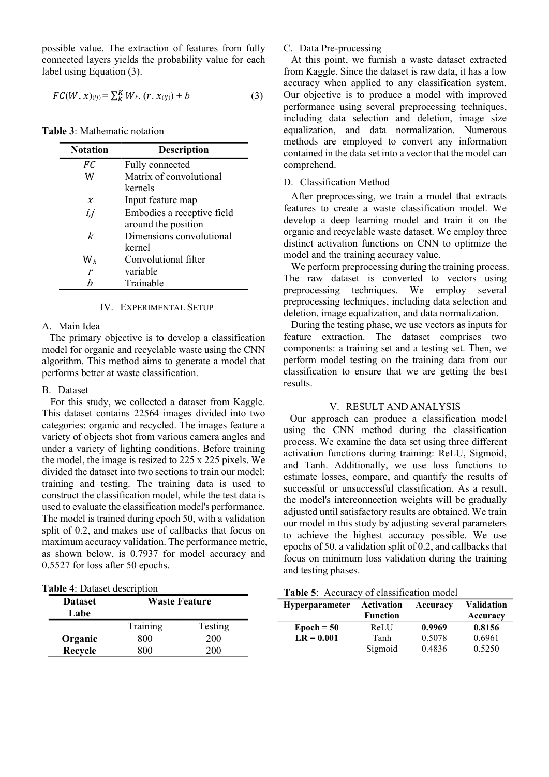possible value. The extraction of features from fully connected layers yields the probability value for each label using Equation (3).

$$
FC(W, x)_{(ij)} = \sum_{k=1}^{K} W_{k} (r x_{(ij)}) + b \qquad (3)
$$

Table 3: Mathematic notation

| <b>Notation</b>  | Description                |
|------------------|----------------------------|
| FC               | Fully connected            |
| W                | Matrix of convolutional    |
|                  | kernels                    |
| $\boldsymbol{X}$ | Input feature map          |
| İ.j              | Embodies a receptive field |
|                  | around the position        |
| k                | Dimensions convolutional   |
|                  | kernel                     |
| $\mathrm{W}_k$   | Convolutional filter       |
| $\mathbf{r}$     | variable                   |
| h                | Trainable                  |

#### IV. EXPERIMENTAL SETUP

 The primary objective is to develop a classification model for organic and recyclable waste using the CNN algorithm. This method aims to generate a model that

 For this study, we collected a dataset from Kaggle. This dataset contains 22564 images divided into two categories: organic and recycled. The images feature a variety of objects shot from various camera angles and under a variety of lighting conditions. Before training the model, the image is resized to 225 x 225 pixels. We divided the dataset into two sections to train our model: training and testing. The training data is used to construct the classification model, while the test data is used to evaluate the classification model's performance. The model is trained during epoch 50, with a validation split of 0.2, and makes use of callbacks that focus on maximum accuracy validation. The performance metric, as shown below, is 0.7937 for model accuracy and

performs better at waste classification.

#### A. Main Idea

B. Dataset

## C. Data Pre-processing

 At this point, we furnish a waste dataset extracted from Kaggle. Since the dataset is raw data, it has a low accuracy when applied to any classification system. Our objective is to produce a model with improved performance using several preprocessing techniques, including data selection and deletion, image size equalization, and data normalization. Numerous methods are employed to convert any information contained in the data set into a vector that the model can comprehend.

## D. Classification Method

 After preprocessing, we train a model that extracts features to create a waste classification model. We develop a deep learning model and train it on the organic and recyclable waste dataset. We employ three distinct activation functions on CNN to optimize the model and the training accuracy value.

 We perform preprocessing during the training process. The raw dataset is converted to vectors using preprocessing techniques. We employ several preprocessing techniques, including data selection and deletion, image equalization, and data normalization.

 During the testing phase, we use vectors as inputs for feature extraction. The dataset comprises two components: a training set and a testing set. Then, we perform model testing on the training data from our classification to ensure that we are getting the best results.

## V. RESULT AND ANALYSIS

Our approach can produce a classification model using the CNN method during the classification process. We examine the data set using three different activation functions during training: ReLU, Sigmoid, and Tanh. Additionally, we use loss functions to estimate losses, compare, and quantify the results of successful or unsuccessful classification. As a result, the model's interconnection weights will be gradually adjusted until satisfactory results are obtained. We train our model in this study by adjusting several parameters to achieve the highest accuracy possible. We use epochs of 50, a validation split of 0.2, and callbacks that focus on minimum loss validation during the training and testing phases.

0.5527 for loss after 50 epochs.

| <b>Dataset</b><br>Labe | <b>Waste Feature</b> |         |  |
|------------------------|----------------------|---------|--|
|                        | Training             | Testing |  |
| Organic                | 800                  | 200     |  |
| Recycle                | 800                  | 200     |  |

Table 5: Accuracy of classification model

| <b>Hyperparameter</b> | Activation<br><b>Function</b> | Accuracy | <b>Validation</b> |
|-----------------------|-------------------------------|----------|-------------------|
|                       |                               |          | Accuracy          |
| $Epoch = 50$          | ReLU                          | 0.9969   | 0.8156            |
| $LR = 0.001$          | Tanh                          | 0.5078   | 0.6961            |
|                       | Sigmoid                       | 0.4836   | 0.5250            |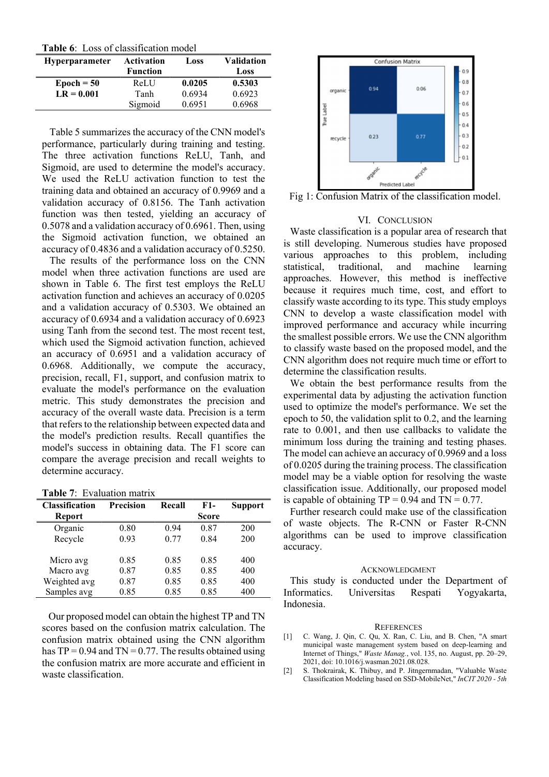Table 6: Loss of classification model

| <b>Hyperparameter</b> | Activation<br><b>Function</b> | Loss   | <b>Validation</b><br>Loss |
|-----------------------|-------------------------------|--------|---------------------------|
| $\text{Epoch} = 50$   | ReLU                          | 0.0205 | 0.5303                    |
| $LR = 0.001$          | Tanh                          | 0.6934 | 0.6923                    |
|                       | Sigmoid                       | 0.6951 | 0.6968                    |

 Table 5 summarizes the accuracy of the CNN model's performance, particularly during training and testing. The three activation functions ReLU, Tanh, and Sigmoid, are used to determine the model's accuracy. We used the ReLU activation function to test the training data and obtained an accuracy of 0.9969 and a validation accuracy of 0.8156. The Tanh activation function was then tested, yielding an accuracy of 0.5078 and a validation accuracy of 0.6961. Then, using the Sigmoid activation function, we obtained an accuracy of 0.4836 and a validation accuracy of 0.5250.

 The results of the performance loss on the CNN model when three activation functions are used are shown in Table 6. The first test employs the ReLU activation function and achieves an accuracy of 0.0205 and a validation accuracy of 0.5303. We obtained an accuracy of 0.6934 and a validation accuracy of 0.6923 using Tanh from the second test. The most recent test, which used the Sigmoid activation function, achieved an accuracy of 0.6951 and a validation accuracy of 0.6968. Additionally, we compute the accuracy, precision, recall, F1, support, and confusion matrix to evaluate the model's performance on the evaluation metric. This study demonstrates the precision and accuracy of the overall waste data. Precision is a term that refers to the relationship between expected data and the model's prediction results. Recall quantifies the model's success in obtaining data. The F1 score can compare the average precision and recall weights to determine accuracy.

Table 7: Evaluation matrix

| <b>Classification</b> | <b>Precision</b> | Recall | F1-          | <b>Support</b> |
|-----------------------|------------------|--------|--------------|----------------|
| <b>Report</b>         |                  |        | <b>Score</b> |                |
| Organic               | 0.80             | 0.94   | 0.87         | 200            |
| Recycle               | 0.93             | 0.77   | 0.84         | 200            |
|                       |                  |        |              |                |
| Micro avg             | 0.85             | 0.85   | 0.85         | 400            |
| Macro avg             | 0.87             | 0.85   | 0.85         | 400            |
| Weighted avg          | 0.87             | 0.85   | 0.85         | 400            |
| Samples avg           | 0.85             | 0.85   | 0.85         | 400            |

Our proposed model can obtain the highest TP and TN scores based on the confusion matrix calculation. The confusion matrix obtained using the CNN algorithm has  $TP = 0.94$  and  $TN = 0.77$ . The results obtained using the confusion matrix are more accurate and efficient in waste classification.



Fig 1: Confusion Matrix of the classification model.

### VI. CONCLUSION

Waste classification is a popular area of research that is still developing. Numerous studies have proposed various approaches to this problem, including statistical, traditional, and machine learning approaches. However, this method is ineffective because it requires much time, cost, and effort to classify waste according to its type. This study employs CNN to develop a waste classification model with improved performance and accuracy while incurring the smallest possible errors. We use the CNN algorithm to classify waste based on the proposed model, and the CNN algorithm does not require much time or effort to determine the classification results.

We obtain the best performance results from the experimental data by adjusting the activation function used to optimize the model's performance. We set the epoch to 50, the validation split to 0.2, and the learning rate to 0.001, and then use callbacks to validate the minimum loss during the training and testing phases. The model can achieve an accuracy of 0.9969 and a loss of 0.0205 during the training process. The classification model may be a viable option for resolving the waste classification issue. Additionally, our proposed model is capable of obtaining  $TP = 0.94$  and  $TN = 0.77$ .

Further research could make use of the classification of waste objects. The R-CNN or Faster R-CNN algorithms can be used to improve classification accuracy.

### ACKNOWLEDGMENT

This study is conducted under the Department of Informatics. Universitas Respati Yogyakarta, Indonesia.

#### **REFERENCES**

- [1] C. Wang, J. Qin, C. Qu, X. Ran, C. Liu, and B. Chen, "A smart municipal waste management system based on deep-learning and Internet of Things," Waste Manag., vol. 135, no. August, pp. 20–29, 2021, doi: 10.1016/j.wasman.2021.08.028.
- [2] S. Thokrairak, K. Thibuy, and P. Jitngernmadan, "Valuable Waste Classification Modeling based on SSD-MobileNet," InCIT 2020 - 5th